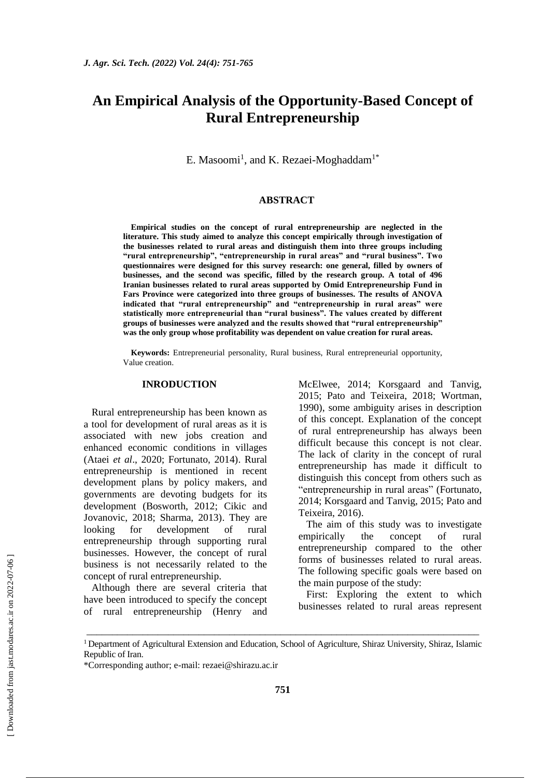# **An Empirical Analysis of the Opportunity-Based Concept of Rural Entrepreneurship**

E. Masoomi<sup>1</sup>, and K. Rezaei-Moghaddam<sup>1\*</sup>

#### **ABSTRACT**

**Empirical studies on the concept of rural entrepreneurship are neglected in the literature. This study aimed to analyze this concept empirically through investigation of the businesses related to rural areas and distinguish them into three groups including "rural entrepreneurship", "entrepreneurship in rural areas" and "rural business". Two questionnaires were designed for this survey research: one general, filled by owners of businesses, and the second was specific, filled by the research group. A total of 496 Iranian businesses related to rural areas supported by Omid Entrepreneurship Fund in Fars Province were categorized into three groups of businesses. The results of ANOVA indicated that "rural entrepreneurship" and "entrepreneurship in rural areas" were statistically more entrepreneurial than "rural business". The values created by different groups of businesses were analyzed and the results showed that "rural entrepreneurship" was the only group whose profitability was dependent on value creation for rural areas.**

**Keywords:** Entrepreneurial personality, Rural business, Rural entrepreneurial opportunity, Value creation.

#### **INRODUCTION**

Rural entrepreneurship has been known as a tool for development of rural areas as it is associated with new jobs creation and enhanced economic conditions in villages (Ataei *et al*., 2020; Fortunato, 2014). Rural entrepreneurship is mentioned in recent development plans by policy makers, and governments are devoting budgets for its development (Bosworth, 2012; Cikic and Jovanovic, 2018; Sharma, 2013). They are looking for development of rural entrepreneurship through supporting rural businesses. However, the concept of rural business is not necessarily related to the concept of rural entrepreneurship.

Although there are several criteria that have been introduced to specify the concept of rural entrepreneurship (Henry and McElwee, 2014; Korsgaard and Tanvig, 2015; Pato and Teixeira, 2018; Wortman, 1990), some ambiguity arises in description of this concept. Explanation of the concept of rural entrepreneurship has always been difficult because this concept is not clear. The lack of clarity in the concept of rural entrepreneurship has made it difficult to distinguish this concept from others such as "entrepreneurship in rural areas" (Fortunato, 2014; Korsgaard and Tanvig, 2015; Pato and Teixeira, 2016).

The aim of this study was to investigate empirically the concept of rural entrepreneurship compared to the other forms of businesses related to rural areas. The following specific goals were based on the main purpose of the study:

First: Exploring the extent to which businesses related to rural areas represent

\_\_\_\_\_\_\_\_\_\_\_\_\_\_\_\_\_\_\_\_\_\_\_\_\_\_\_\_\_\_\_\_\_\_\_\_\_\_\_\_\_\_\_\_\_\_\_\_\_\_\_\_\_\_\_\_\_\_\_\_\_\_\_\_\_\_\_\_\_\_\_\_\_\_\_\_\_

<sup>&</sup>lt;sup>1</sup> Department of Agricultural Extension and Education, School of Agriculture, Shiraz University, Shiraz, Islamic Republic of Iran.

<sup>\*</sup>Corresponding author; e-mail: rezaei@shirazu.ac.ir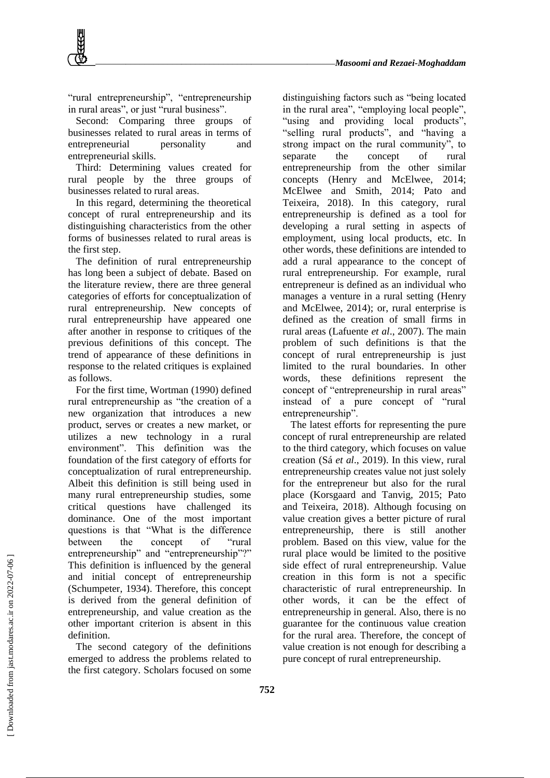"rural entrepreneurship", "entrepreneurship in rural areas", or just "rural business".

Second: Comparing three groups of businesses related to rural areas in terms of entrepreneurial personality and entrepreneurial skills.

Third: Determining values created for rural people by the three groups of businesses related to rural areas.

In this regard, determining the theoretical concept of rural entrepreneurship and its distinguishing characteristics from the other forms of businesses related to rural areas is the first step.

The definition of rural entrepreneurship has long been a subject of debate. Based on the literature review, there are three general categories of efforts for conceptualization of rural entrepreneurship. New concepts of rural entrepreneurship have appeared one after another in response to critiques of the previous definitions of this concept. The trend of appearance of these definitions in response to the related critiques is explained as follows.

For the first time, Wortman (1990) defined rural entrepreneurship as "the creation of a new organization that introduces a new product, serves or creates a new market, or utilizes a new technology in a rural environment". This definition was the foundation of the first category of efforts for conceptualization of rural entrepreneurship. Albeit this definition is still being used in many rural entrepreneurship studies, some critical questions have challenged its dominance. One of the most important questions is that "What is the difference between the concept of "rural entrepreneurship" and "entrepreneurship"?" This definition is influenced by the general and initial concept of entrepreneurship (Schumpeter, 1934). Therefore, this concept is derived from the general definition of entrepreneurship, and value creation as the other important criterion is absent in this definition.

The second category of the definitions emerged to address the problems related to the first category. Scholars focused on some

distinguishing factors such as "being located in the rural area", "employing local people", "using and providing local products", "selling rural products", and "having a strong impact on the rural community", to separate the concept of rural entrepreneurship from the other similar concepts (Henry and McElwee, 2014; McElwee and Smith, 2014; Pato and Teixeira, 2018). In this category, rural entrepreneurship is defined as a tool for developing a rural setting in aspects of employment, using local products, etc. In other words, these definitions are intended to add a rural appearance to the concept of rural entrepreneurship. For example, rural entrepreneur is defined as an individual who manages a venture in a rural setting (Henry and McElwee, 2014); or, rural enterprise is defined as the creation of small firms in rural areas (Lafuente *et al*., 2007). The main problem of such definitions is that the concept of rural entrepreneurship is just limited to the rural boundaries. In other words, these definitions represent the concept of "entrepreneurship in rural areas" instead of a pure concept of "rural entrepreneurship".

The latest efforts for representing the pure concept of rural entrepreneurship are related to the third category, which focuses on value creation (Sá *et al*., 2019). In this view, rural entrepreneurship creates value not just solely for the entrepreneur but also for the rural place (Korsgaard and Tanvig, 2015; Pato and Teixeira, 2018). Although focusing on value creation gives a better picture of rural entrepreneurship, there is still another problem. Based on this view, value for the rural place would be limited to the positive side effect of rural entrepreneurship. Value creation in this form is not a specific characteristic of rural entrepreneurship. In other words, it can be the effect of entrepreneurship in general. Also, there is no guarantee for the continuous value creation for the rural area. Therefore, the concept of value creation is not enough for describing a pure concept of rural entrepreneurship.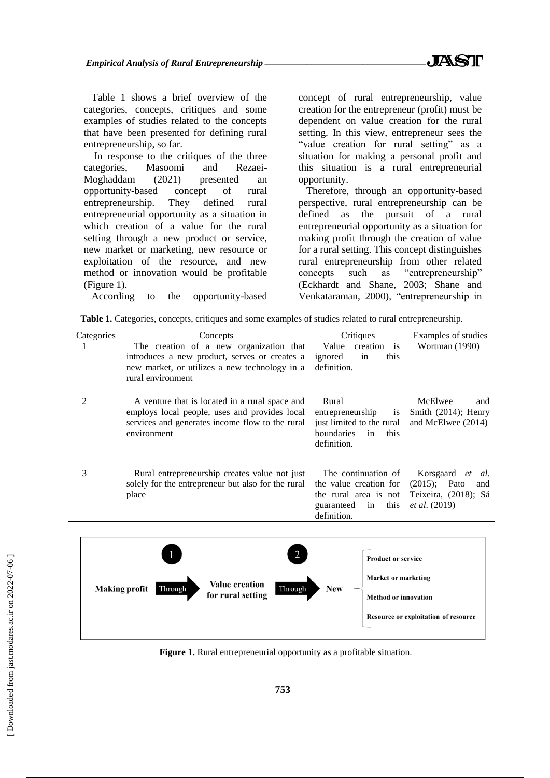Table 1 shows a brief overview of the categories, concepts, critiques and some examples of studies related to the concepts that have been presented for defining rural entrepreneurship, so far.

In response to the critiques of the three categories, Masoomi and Rezaei-Moghaddam (2021) presented an opportunity-based concept of rural entrepreneurship. They defined rural entrepreneurial opportunity as a situation in which creation of a value for the rural setting through a new product or service, new market or marketing, new resource or exploitation of the resource, and new method or innovation would be profitable (Figure 1).

According to the opportunity-based

concept of rural entrepreneurship, value creation for the entrepreneur (profit) must be dependent on value creation for the rural setting. In this view, entrepreneur sees the "value creation for rural setting" as a situation for making a personal profit and this situation is a rural entrepreneurial opportunity.

Therefore, through an opportunity-based perspective, rural entrepreneurship can be defined as the pursuit of a rural entrepreneurial opportunity as a situation for making profit through the creation of value for a rural setting. This concept distinguishes rural entrepreneurship from other related concepts such as "entrepreneurship" (Eckhardt and Shane, 2003; Shane and Venkataraman, 2000), "entrepreneurship in

|  |  |  |  |  |  |  | Table 1. Categories, concepts, critiques and some examples of studies related to rural entrepreneurship. |
|--|--|--|--|--|--|--|----------------------------------------------------------------------------------------------------------|
|--|--|--|--|--|--|--|----------------------------------------------------------------------------------------------------------|

| Categories | Concepts                                                           | Critiques                                             | Examples of studies                  |
|------------|--------------------------------------------------------------------|-------------------------------------------------------|--------------------------------------|
| 1          | The creation of a new organization that                            | Value<br>creation is                                  | Wortman (1990)                       |
|            | introduces a new product, serves or creates a                      | this<br>ignored<br>in                                 |                                      |
|            | new market, or utilizes a new technology in a<br>rural environment | definition.                                           |                                      |
| 2          | A venture that is located in a rural space and                     | Rural                                                 | McElwee<br>and                       |
|            | employs local people, uses and provides local                      | entrepreneurship<br>1S                                | Smith (2014); Henry                  |
|            | services and generates income flow to the rural<br>environment     | just limited to the rural<br>boundaries<br>this<br>in | and McElwee (2014)                   |
|            |                                                                    | definition.                                           |                                      |
| 3          | Rural entrepreneurship creates value not just                      | The continuation of                                   | Korsgaard et<br>al.                  |
|            | solely for the entrepreneur but also for the rural                 | the value creation for                                | $(2015)$ ; Pato<br>and               |
|            | place                                                              | the rural area is not                                 | Teixeira, (2018); Sá                 |
|            |                                                                    | this<br>guaranteed in<br>definition.                  | <i>et al.</i> (2019)                 |
|            |                                                                    |                                                       |                                      |
|            |                                                                    |                                                       |                                      |
|            |                                                                    | <b>Product or service</b>                             |                                      |
|            | <b>Value creation</b>                                              | Market or marketing                                   |                                      |
|            | <b>Making profit</b><br>Through<br>Through<br>for rural setting    | <b>New</b><br><b>Method or innovation</b>             |                                      |
|            |                                                                    |                                                       | Resource or exploitation of resource |

**Figure 1.** Rural entrepreneurial opportunity as a profitable situation.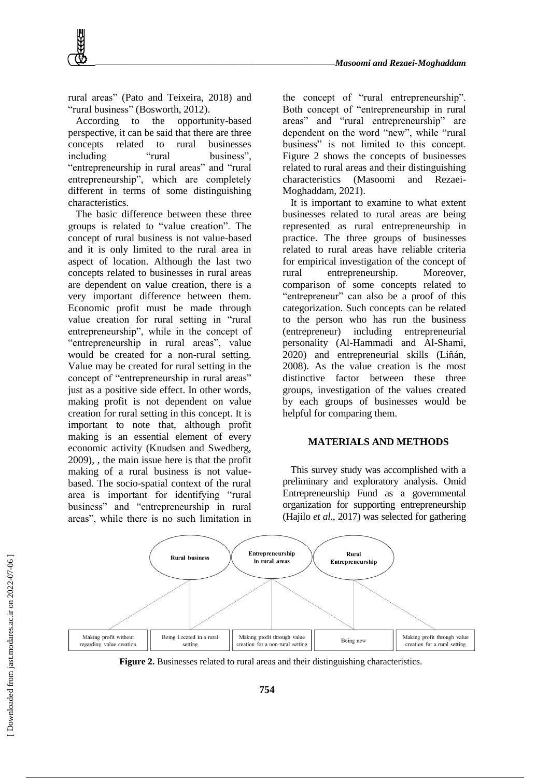rural areas" (Pato and Teixeira, 2018) and "rural business" (Bosworth, 2012).

According to the opportunity-based perspective, it can be said that there are three concepts related to rural businesses including "rural business" "entrepreneurship in rural areas" and "rural entrepreneurship", which are completely different in terms of some distinguishing characteristics.

The basic difference between these three groups is related to "value creation". The concept of rural business is not value-based and it is only limited to the rural area in aspect of location. Although the last two concepts related to businesses in rural areas are dependent on value creation, there is a very important difference between them. Economic profit must be made through value creation for rural setting in "rural entrepreneurship", while in the concept of "entrepreneurship in rural areas", value would be created for a non-rural setting. Value may be created for rural setting in the concept of "entrepreneurship in rural areas" just as a positive side effect. In other words, making profit is not dependent on value creation for rural setting in this concept. It is important to note that, although profit making is an essential element of every economic activity (Knudsen and Swedberg, 2009), , the main issue here is that the profit making of a rural business is not valuebased. The socio-spatial context of the rural area is important for identifying "rural business" and "entrepreneurship in rural areas", while there is no such limitation in

the concept of "rural entrepreneurship". Both concept of "entrepreneurship in rural areas" and "rural entrepreneurship" are dependent on the word "new", while "rural business" is not limited to this concept. Figure 2 shows the concepts of businesses related to rural areas and their distinguishing characteristics (Masoomi and Rezaei-Moghaddam, 2021).

It is important to examine to what extent businesses related to rural areas are being represented as rural entrepreneurship in practice. The three groups of businesses related to rural areas have reliable criteria for empirical investigation of the concept of rural entrepreneurship. Moreover, comparison of some concepts related to "entrepreneur" can also be a proof of this categorization. Such concepts can be related to the person who has run the business (entrepreneur) including entrepreneurial personality (Al-Hammadi and Al-Shami, 2020) and entrepreneurial skills (Liñán, 2008). As the value creation is the most distinctive factor between these three groups, investigation of the values created by each groups of businesses would be helpful for comparing them.

# **MATERIALS AND METHODS**

This survey study was accomplished with a preliminary and exploratory analysis. Omid Entrepreneurship Fund as a governmental organization for supporting entrepreneurship (Hajilo *et al*., 2017) was selected for gathering



Figure 2. Businesses related to rural areas and their distinguishing characteristics.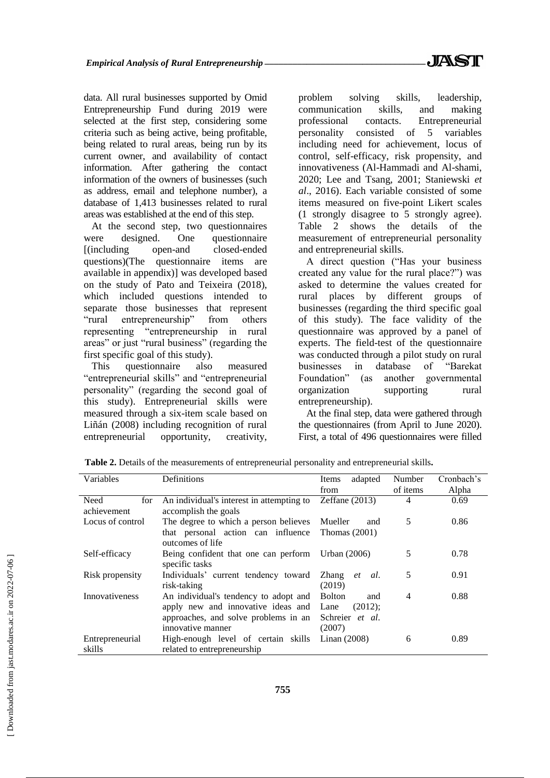data. All rural businesses supported by Omid Entrepreneurship Fund during 2019 were selected at the first step, considering some criteria such as being active, being profitable, being related to rural areas, being run by its current owner, and availability of contact information. After gathering the contact information of the owners of businesses (such as address, email and telephone number), a database of 1,413 businesses related to rural areas was established at the end of this step.

At the second step, two questionnaires were designed. One questionnaire [(including open-and closed-ended questions)(The questionnaire items are available in appendix)] was developed based on the study of Pato and Teixeira (2018), which included questions intended to separate those businesses that represent "rural entrepreneurship" from others representing "entrepreneurship in rural areas" or just "rural business" (regarding the first specific goal of this study).

This questionnaire also measured "entrepreneurial skills" and "entrepreneurial personality" (regarding the second goal of this study). Entrepreneurial skills were measured through a six-item scale based on Liñán (2008) including recognition of rural entrepreneurial opportunity, creativity,

problem solving skills, leadership, communication skills, and making professional contacts. Entrepreneurial personality consisted of 5 variables including need for achievement, locus of control, self-efficacy, risk propensity, and innovativeness (Al-Hammadi and Al-shami, 2020; Lee and Tsang, 2001; Staniewski *et al*., 2016). Each variable consisted of some items measured on five-point Likert scales (1 strongly disagree to 5 strongly agree). Table 2 shows the details of the measurement of entrepreneurial personality and entrepreneurial skills.

A direct question ("Has your business created any value for the rural place?") was asked to determine the values created for rural places by different groups of businesses (regarding the third specific goal of this study). The face validity of the questionnaire was approved by a panel of experts. The field-test of the questionnaire was conducted through a pilot study on rural businesses in database of "Barekat Foundation" (as another governmental organization supporting rural entrepreneurship).

At the final step, data were gathered through the questionnaires (from April to June 2020). First, a total of 496 questionnaires were filled

| Variables             | Definitions                               | adapted<br>Items     | Number   | Cronbach's |
|-----------------------|-------------------------------------------|----------------------|----------|------------|
|                       |                                           | from                 | of items | Alpha      |
| Need<br>for           | An individual's interest in attempting to | Zeffane $(2013)$     | 4        | 0.69       |
| achievement           | accomplish the goals                      |                      |          |            |
| Locus of control      | The degree to which a person believes     | Mueller<br>and       | 5        | 0.86       |
|                       | that personal action can influence        | Thomas $(2001)$      |          |            |
|                       | outcomes of life                          |                      |          |            |
| Self-efficacy         | Being confident that one can perform      | Urban (2006)         | 5        | 0.78       |
|                       | specific tasks                            |                      |          |            |
| Risk propensity       | Individuals' current tendency toward      | Zhang<br>al.<br>et   | 5        | 0.91       |
|                       | risk-taking                               | (2019)               |          |            |
| <b>Innovativeness</b> | An individual's tendency to adopt and     | <b>Bolton</b><br>and | 4        | 0.88       |
|                       | apply new and innovative ideas and Lane   | $(2012)$ ;           |          |            |
|                       | approaches, and solve problems in an      | Schreier et al.      |          |            |
|                       | innovative manner                         | (2007)               |          |            |
| Entrepreneurial       | High-enough level of certain skills       | Linan $(2008)$       | 6        | 0.89       |
| skills                | related to entrepreneurship               |                      |          |            |

**Table 2.** Details of the measurements of entrepreneurial personality and entrepreneurial skills**.**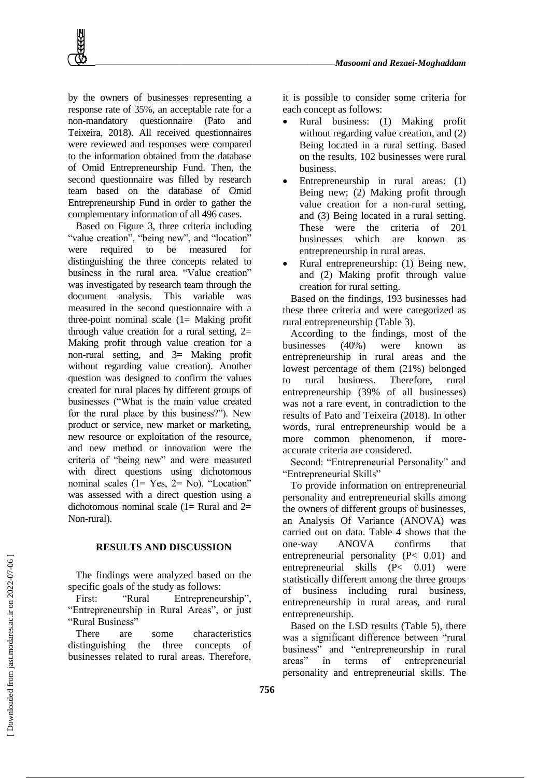by the owners of businesses representing a response rate of 35%, an acceptable rate for a non-mandatory questionnaire (Pato and Teixeira, 2018). All received questionnaires were reviewed and responses were compared to the information obtained from the database of Omid Entrepreneurship Fund. Then, the second questionnaire was filled by research team based on the database of Omid Entrepreneurship Fund in order to gather the complementary information of all 496 cases.

Based on Figure 3, three criteria including "value creation", "being new", and "location" were required to be measured for distinguishing the three concepts related to business in the rural area. "Value creation" was investigated by research team through the document analysis. This variable was measured in the second questionnaire with a three-point nominal scale  $(1=$  Making profit through value creation for a rural setting,  $2=$ Making profit through value creation for a non-rural setting, and 3= Making profit without regarding value creation). Another question was designed to confirm the values created for rural places by different groups of businesses ("What is the main value created for the rural place by this business?"). New product or service, new market or marketing, new resource or exploitation of the resource, and new method or innovation were the criteria of "being new" and were measured with direct questions using dichotomous nominal scales (1= Yes, 2= No). "Location" was assessed with a direct question using a dichotomous nominal scale  $(1=$  Rural and  $2=$ Non-rural).

#### **RESULTS AND DISCUSSION**

The findings were analyzed based on the specific goals of the study as follows:

First: "Rural Entrepreneurship", "Entrepreneurship in Rural Areas", or just "Rural Business"

There are some characteristics distinguishing the three concepts of businesses related to rural areas. Therefore, it is possible to consider some criteria for each concept as follows:

- Rural business: (1) Making profit without regarding value creation, and (2) Being located in a rural setting. Based on the results, 102 businesses were rural business.
- Entrepreneurship in rural areas: (1) Being new; (2) Making profit through value creation for a non-rural setting, and (3) Being located in a rural setting. These were the criteria of 201 businesses which are known as entrepreneurship in rural areas.
- Rural entrepreneurship: (1) Being new, and (2) Making profit through value creation for rural setting.

Based on the findings, 193 businesses had these three criteria and were categorized as rural entrepreneurship (Table 3).

According to the findings, most of the businesses (40%) were known as entrepreneurship in rural areas and the lowest percentage of them (21%) belonged to rural business. Therefore, rural entrepreneurship (39% of all businesses) was not a rare event, in contradiction to the results of Pato and Teixeira (2018). In other words, rural entrepreneurship would be a more common phenomenon, if moreaccurate criteria are considered.

Second: "Entrepreneurial Personality" and "Entrepreneurial Skills"

To provide information on entrepreneurial personality and entrepreneurial skills among the owners of different groups of businesses, an Analysis Of Variance (ANOVA) was carried out on data. Table 4 shows that the one-way ANOVA confirms that entrepreneurial personality (P< 0.01) and entrepreneurial skills (P< 0.01) were statistically different among the three groups of business including rural business, entrepreneurship in rural areas, and rural entrepreneurship.

Based on the LSD results (Table 5), there was a significant difference between "rural business" and "entrepreneurship in rural areas" in terms of entrepreneurial personality and entrepreneurial skills. The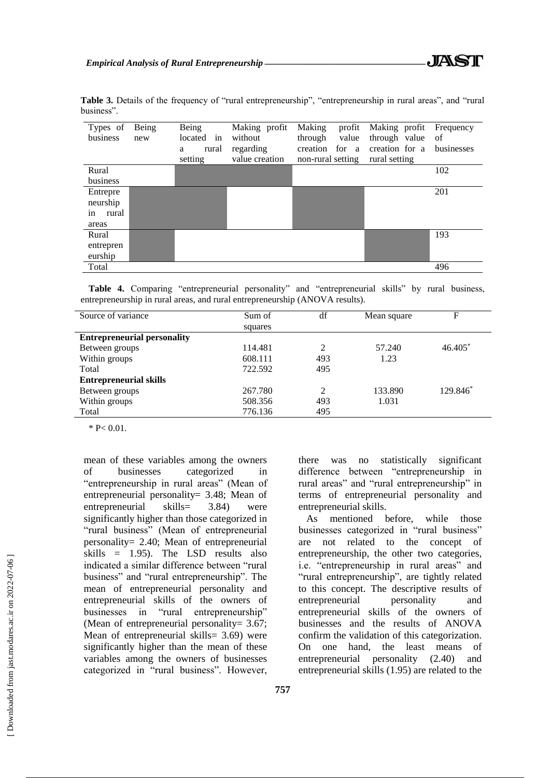| Types of<br>business | Being<br>new | Being<br>located in<br>rural<br>a<br>setting | Making profit<br>without<br>regarding<br>value creation | Making<br>profit<br>through<br>value<br>creation for a<br>non-rural setting | Making profit<br>through value<br>creation for a<br>rural setting | Frequency<br>-of<br>businesses |
|----------------------|--------------|----------------------------------------------|---------------------------------------------------------|-----------------------------------------------------------------------------|-------------------------------------------------------------------|--------------------------------|
| Rural                |              |                                              |                                                         |                                                                             |                                                                   | 102                            |
| business             |              |                                              |                                                         |                                                                             |                                                                   |                                |
| Entrepre             |              |                                              |                                                         |                                                                             |                                                                   | 201                            |
| neurship             |              |                                              |                                                         |                                                                             |                                                                   |                                |
| in<br>rural          |              |                                              |                                                         |                                                                             |                                                                   |                                |
| areas                |              |                                              |                                                         |                                                                             |                                                                   |                                |
| Rural                |              |                                              |                                                         |                                                                             |                                                                   | 193                            |
| entrepren            |              |                                              |                                                         |                                                                             |                                                                   |                                |
| eurship              |              |                                              |                                                         |                                                                             |                                                                   |                                |
| Total                |              |                                              |                                                         |                                                                             |                                                                   | 496                            |

Table 3. Details of the frequency of "rural entrepreneurship", "entrepreneurship in rural areas", and "rural business".

**Table 4.** Comparing "entrepreneurial personality" and "entrepreneurial skills" by rural business, entrepreneurship in rural areas, and rural entrepreneurship (ANOVA results).

| Source of variance                 | Sum of  | df  | Mean square | F         |
|------------------------------------|---------|-----|-------------|-----------|
|                                    | squares |     |             |           |
| <b>Entrepreneurial personality</b> |         |     |             |           |
| Between groups                     | 114.481 | 2   | 57.240      | $46.405*$ |
| Within groups                      | 608.111 | 493 | 1.23        |           |
| Total                              | 722.592 | 495 |             |           |
| <b>Entrepreneurial skills</b>      |         |     |             |           |
| Between groups                     | 267.780 | 2   | 133.890     | 129.846*  |
| Within groups                      | 508.356 | 493 | 1.031       |           |
| Total                              | 776.136 | 495 |             |           |

 $*$  P< 0.01.

mean of these variables among the owners of businesses categorized in "entrepreneurship in rural areas" (Mean of entrepreneurial personality= 3.48; Mean of entrepreneurial skills= 3.84) were significantly higher than those categorized in "rural business" (Mean of entrepreneurial personality= 2.40; Mean of entrepreneurial skills  $= 1.95$ ). The LSD results also indicated a similar difference between "rural business" and "rural entrepreneurship". The mean of entrepreneurial personality and entrepreneurial skills of the owners of businesses in "rural entrepreneurship" (Mean of entrepreneurial personality= 3.67; Mean of entrepreneurial skills= 3.69) were significantly higher than the mean of these variables among the owners of businesses categorized in "rural business". However, there was no statistically significant difference between "entrepreneurship in rural areas" and "rural entrepreneurship" in terms of entrepreneurial personality and entrepreneurial skills.

As mentioned before, while those businesses categorized in "rural business" are not related to the concept of entrepreneurship, the other two categories, i.e. "entrepreneurship in rural areas" and "rural entrepreneurship", are tightly related to this concept. The descriptive results of entrepreneurial personality and entrepreneurial skills of the owners of businesses and the results of ANOVA confirm the validation of this categorization. On one hand, the least means of entrepreneurial personality (2.40) and entrepreneurial skills (1.95) are related to the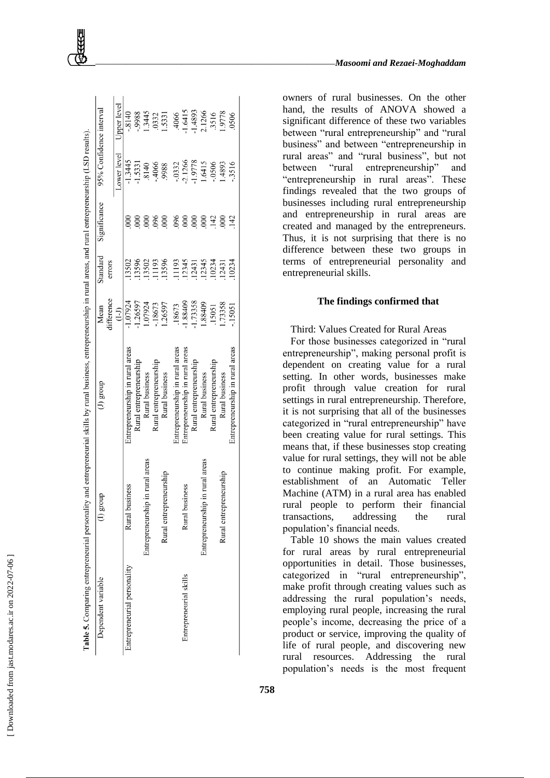| Dependent variable          | $(1)$ group                     | $(1)$ group                     | Mean       | Standard | Significance    | 95% Confidence interval |             |
|-----------------------------|---------------------------------|---------------------------------|------------|----------|-----------------|-------------------------|-------------|
|                             |                                 |                                 | difference | errors   |                 |                         |             |
|                             |                                 |                                 | $(1-1)$    |          |                 | Lower level             | Upper level |
| Entrepreneurial personality | pusiness<br>Rural               | Entrepreneurship in rural areas | 1.07924    | 13502    |                 | $-1.3445$               | $-8140$     |
|                             |                                 | Rural entrepreneurship          | $-1.26597$ | 13596    | 000             | 1.5331                  | 8866.       |
|                             | Entrepreneurship in rural areas | Rural business                  | .07924     | 13502    | 000             | .8140                   | 1.3445      |
|                             |                                 | Rural entrepreneurship          | .18673     | 11193    | 096             | -.4066                  | 0332        |
|                             | Rural entrepreneurship          | Rural business                  | .26597     | 13596    | 000             | 9988                    | 1.5331      |
|                             |                                 | Entrepreneurship in rural areas | 18673      | 11193    | $\frac{6}{6}$   | $-0.332$                | .4066       |
| Entrepreneurial skills      | pusiness<br>Rural               | Entrepreneurship in rural areas | 1.88409    | 12345    | $\frac{000}{2}$ | 2.1266                  | 1.6415      |
|                             |                                 | Rural entrepreneurship          | 1.73358    | 12431    | 000             | 1.9778                  | 1.4893      |
|                             | Entrepreneurship in rural areas | Rural business                  | 88409      | 12345    | 000             | 1.6415                  | 2.1266      |
|                             |                                 | Rural entrepreneurship          | .15051     | 10234    | 142             | .0506                   | .3516       |
|                             | Rural entrepreneurship          | Rural business                  | .73358     | 12431    | $\frac{000}{2}$ | .4893                   | 8416        |
|                             |                                 | Entrepreneurship in rural areas | .15051     | 10234    | 142             | .3516                   | 0506        |
|                             |                                 |                                 |            |          |                 |                         |             |

owners of rural businesses. On the other hand, the results of ANOVA showed a significant difference of these two variables between "rural entrepreneurship" and "rural business" and between "entrepreneurship in rural areas" and "rural business", but not between "rural entrepreneurship" and "entrepreneurship in rural areas". These findings revealed that the two groups of businesses including rural entrepreneurship and entrepreneurship in rural areas are created and managed by the entrepreneurs. Thus, it is not surprising that there is no difference between these two groups in terms of entrepreneurial personality and entrepreneurial skills.

#### **The findings confirmed that**

Third: Values Created for Rural Areas

For those businesses categorized in "rural entrepreneurship", making personal profit is dependent on creating value for a rural setting. In other words, businesses make profit through value creation for rural settings in rural entrepreneurship. Therefore, it is not surprising that all of the businesses categorized in "rural entrepreneurship" have been creating value for rural settings. This means that, if these businesses stop creating value for rural settings, they will not be able to continue making profit. For example, establishment of an Automatic Teller Machine (ATM) in a rural area has enabled rural people to perform their financial transactions, addressing the rural population's financial needs.

Table 10 shows the main values created for rural areas by rural entrepreneurial opportunities in detail. Those businesses, categorized in "rural entrepreneurship", make profit through creating values such as addressing the rural population's needs, employing rural people, increasing the rural people's income, decreasing the price of a product or service, improving the quality of life of rural people, and discovering new rural resources. Addressing the rural population's needs is the most frequent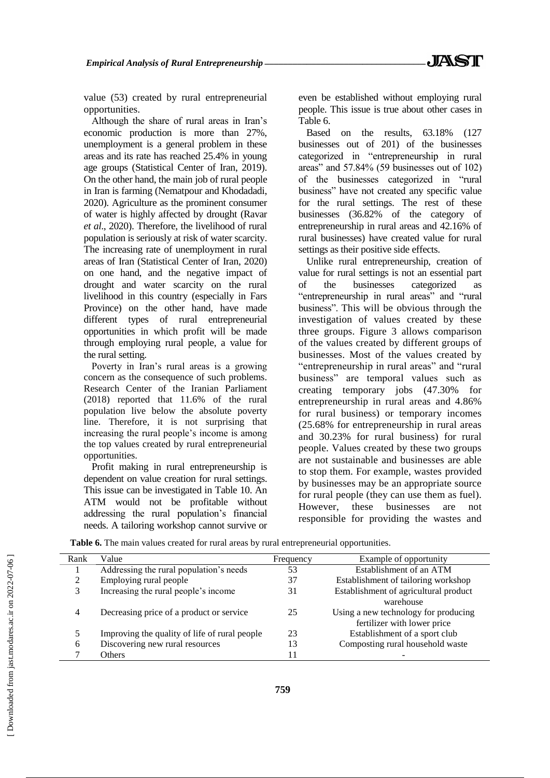value (53) created by rural entrepreneurial opportunities.

Although the share of rural areas in Iran's economic production is more than 27%, unemployment is a general problem in these areas and its rate has reached 25.4% in young age groups (Statistical Center of Iran, 2019). On the other hand, the main job of rural people in Iran is farming (Nematpour and Khodadadi, 2020). Agriculture as the prominent consumer of water is highly affected by drought (Ravar *et al*., 2020). Therefore, the livelihood of rural population is seriously at risk of water scarcity. The increasing rate of unemployment in rural areas of Iran (Statistical Center of Iran, 2020) on one hand, and the negative impact of drought and water scarcity on the rural livelihood in this country (especially in Fars Province) on the other hand, have made different types of rural entrepreneurial opportunities in which profit will be made through employing rural people, a value for the rural setting.

Poverty in Iran's rural areas is a growing concern as the consequence of such problems. Research Center of the Iranian Parliament (2018) reported that 11.6% of the rural population live below the absolute poverty line. Therefore, it is not surprising that increasing the rural people's income is among the top values created by rural entrepreneurial opportunities.

Profit making in rural entrepreneurship is dependent on value creation for rural settings. This issue can be investigated in Table 10. An ATM would not be profitable without addressing the rural population's financial needs. A tailoring workshop cannot survive or even be established without employing rural people. This issue is true about other cases in Table 6.

Based on the results, 63.18% (127 businesses out of 201) of the businesses categorized in "entrepreneurship in rural areas" and 57.84% (59 businesses out of 102) of the businesses categorized in "rural business" have not created any specific value for the rural settings. The rest of these businesses (36.82% of the category of entrepreneurship in rural areas and 42.16% of rural businesses) have created value for rural settings as their positive side effects.

Unlike rural entrepreneurship, creation of value for rural settings is not an essential part of the businesses categorized "entrepreneurship in rural areas" and "rural business". This will be obvious through the investigation of values created by these three groups. Figure 3 allows comparison of the values created by different groups of businesses. Most of the values created by "entrepreneurship in rural areas" and "rural business" are temporal values such as creating temporary jobs (47.30% for entrepreneurship in rural areas and 4.86% for rural business) or temporary incomes (25.68% for entrepreneurship in rural areas and 30.23% for rural business) for rural people. Values created by these two groups are not sustainable and businesses are able to stop them. For example, wastes provided by businesses may be an appropriate source for rural people (they can use them as fuel). However, these businesses are not responsible for providing the wastes and

| Rank | Value                                         | Frequency | Example of opportunity                |
|------|-----------------------------------------------|-----------|---------------------------------------|
|      | Addressing the rural population's needs       | 53        | Establishment of an ATM               |
|      | Employing rural people                        | 37        | Establishment of tailoring workshop   |
|      | Increasing the rural people's income          | 31        | Establishment of agricultural product |
|      |                                               |           | warehouse                             |
| 4    | Decreasing price of a product or service      | 25        | Using a new technology for producing  |
|      |                                               |           | fertilizer with lower price           |
|      | Improving the quality of life of rural people | 23        | Establishment of a sport club         |
| h.   | Discovering new rural resources               | 13        | Composting rural household waste      |
|      | Others                                        | 11        |                                       |

**Table 6.** The main values created for rural areas by rural entrepreneurial opportunities.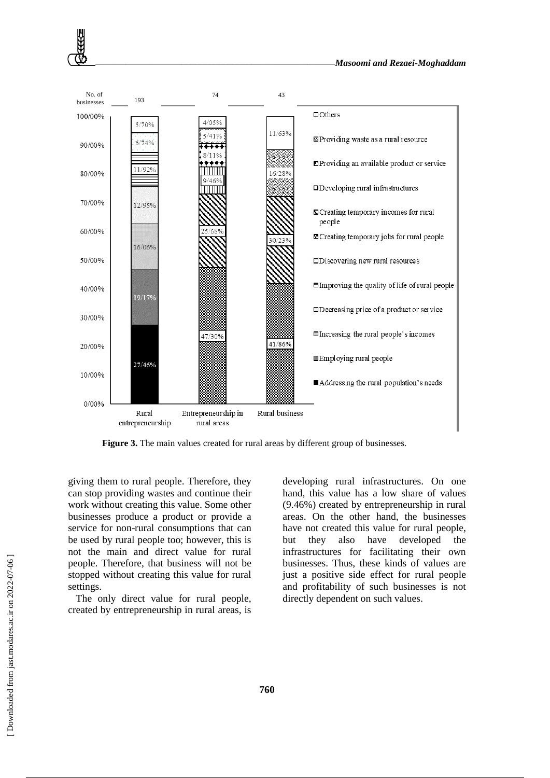

Figure 3. The main values created for rural areas by different group of businesses.

giving them to rural people. Therefore, they can stop providing wastes and continue their work without creating this value. Some other businesses produce a product or provide a service for non-rural consumptions that can be used by rural people too; however, this is not the main and direct value for rural people. Therefore, that business will not be stopped without creating this value for rural settings.

The only direct value for rural people, created by entrepreneurship in rural areas, is developing rural infrastructures. On one hand, this value has a low share of values (9.46%) created by entrepreneurship in rural areas. On the other hand, the businesses have not created this value for rural people, but they also have developed the infrastructures for facilitating their own businesses. Thus, these kinds of values are just a positive side effect for rural people and profitability of such businesses is not directly dependent on such values.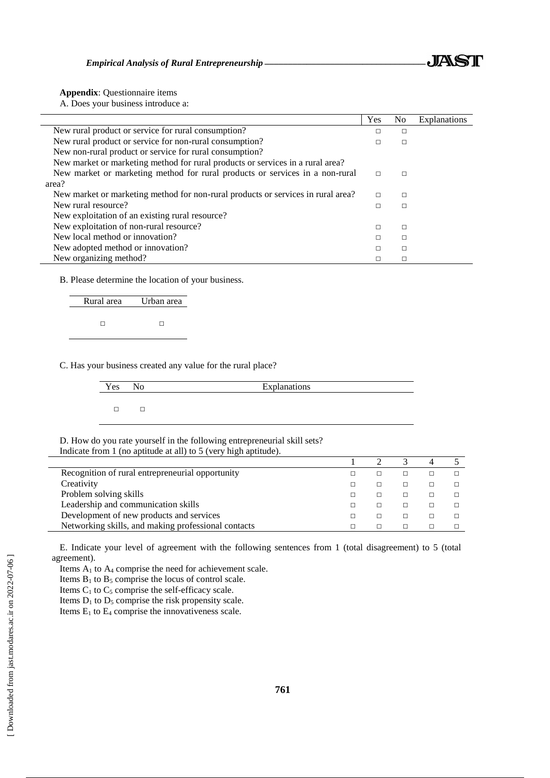

**Appendix**: Questionnaire items

Ē,  $\overline{a}$  A. Does your business introduce a:

|                                                                                  | Yes    | N <sub>0</sub> | <b>Explanations</b> |
|----------------------------------------------------------------------------------|--------|----------------|---------------------|
| New rural product or service for rural consumption?                              | п      | $\Box$         |                     |
| New rural product or service for non-rural consumption?                          |        | □              |                     |
| New non-rural product or service for rural consumption?                          |        |                |                     |
| New market or marketing method for rural products or services in a rural area?   |        |                |                     |
| New market or marketing method for rural products or services in a non-rural     | $\Box$ | $\Box$         |                     |
| area?                                                                            |        |                |                     |
| New market or marketing method for non-rural products or services in rural area? | $\Box$ | □              |                     |
| New rural resource?                                                              | п      | $\Box$         |                     |
| New exploitation of an existing rural resource?                                  |        |                |                     |
| New exploitation of non-rural resource?                                          | п      | П              |                     |
| New local method or innovation?                                                  |        | □              |                     |
| New adopted method or innovation?                                                |        | $\Box$         |                     |
| New organizing method?                                                           |        | □              |                     |

B. Please determine the location of your business.

| Rural area | Urban area |
|------------|------------|
|            |            |
|            |            |
|            |            |

C. Has your business created any value for the rural place?

| <b>Yes</b> | N <sub>0</sub> | Explanations |
|------------|----------------|--------------|
|            |                |              |

D. How do you rate yourself in the following entrepreneurial skill sets? Indicate from 1 (no aptitude at all) to 5 (very high aptitude).

| Recognition of rural entrepreneurial opportunity    |  |  |  |
|-----------------------------------------------------|--|--|--|
| Creativity                                          |  |  |  |
| Problem solving skills                              |  |  |  |
| Leadership and communication skills                 |  |  |  |
| Development of new products and services            |  |  |  |
| Networking skills, and making professional contacts |  |  |  |

E. Indicate your level of agreement with the following sentences from 1 (total disagreement) to 5 (total agreement).

Items A<sup>1</sup> to A<sup>4</sup> comprise the need for achievement scale.

Items  $B_1$  to  $B_5$  comprise the locus of control scale.

Items  $C_1$  to  $C_5$  comprise the self-efficacy scale.

Items  $D_1$  to  $D_5$  comprise the risk propensity scale.

Items  $E_1$  to  $E_4$  comprise the innovativeness scale.

 $\overline{\phantom{a}}$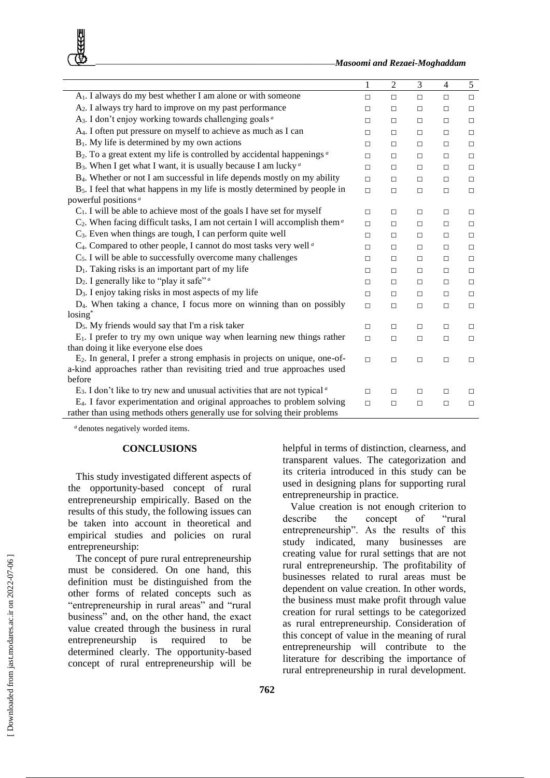*\_\_\_\_\_\_\_\_\_\_\_\_\_\_\_\_\_\_\_\_\_\_\_\_\_\_\_\_\_\_\_\_\_\_\_\_\_\_\_\_\_\_\_\_\_\_\_\_\_\_\_\_\_\_Masoomi and Rezaei-Moghaddam*

|                                                                                                  | 1      | $\overline{2}$ | 3      | $\overline{4}$ | 5      |
|--------------------------------------------------------------------------------------------------|--------|----------------|--------|----------------|--------|
| A <sub>1</sub> . I always do my best whether I am alone or with someone                          | $\Box$ | $\Box$         | $\Box$ | $\Box$         | $\Box$ |
| A <sub>2</sub> . I always try hard to improve on my past performance                             | $\Box$ | $\Box$         | $\Box$ | $\Box$         | $\Box$ |
| A <sub>3</sub> . I don't enjoy working towards challenging goals <sup>a</sup>                    | □      | □              | $\Box$ | $\Box$         | $\Box$ |
| A <sub>4</sub> . I often put pressure on myself to achieve as much as I can                      | □      | $\Box$         | $\Box$ | $\Box$         | $\Box$ |
| $B_1$ . My life is determined by my own actions                                                  | $\Box$ | $\Box$         | $\Box$ | $\Box$         | $\Box$ |
| $B_2$ . To a great extent my life is controlled by accidental happenings $a$                     | $\Box$ | $\Box$         | $\Box$ | $\Box$         | $\Box$ |
| B <sub>3</sub> . When I get what I want, it is usually because I am lucky <sup><i>a</i></sup>    | $\Box$ | $\Box$         | $\Box$ | $\Box$         | $\Box$ |
| B <sub>4</sub> . Whether or not I am successful in life depends mostly on my ability             | П.     | $\Box$         | $\Box$ | $\Box$         | $\Box$ |
| $B5$ . I feel that what happens in my life is mostly determined by people in                     | $\Box$ | $\Box$         | $\Box$ | $\Box$         | $\Box$ |
| powerful positions <sup><i>a</i></sup>                                                           |        |                |        |                |        |
| $C_1$ . I will be able to achieve most of the goals I have set for myself                        | П      | П              | $\Box$ | □              | $\Box$ |
| $C_2$ . When facing difficult tasks, I am not certain I will accomplish them <sup><i>a</i></sup> | $\Box$ | $\Box$         | $\Box$ | $\Box$         | $\Box$ |
| $C_3$ . Even when things are tough, I can perform quite well                                     | $\Box$ | □              | $\Box$ | □              | $\Box$ |
| C <sub>4</sub> . Compared to other people, I cannot do most tasks very well <sup>a</sup>         | □      | $\Box$         | $\Box$ | $\Box$         | $\Box$ |
| C <sub>5</sub> . I will be able to successfully overcome many challenges                         | п      | $\Box$         | $\Box$ | $\Box$         | $\Box$ |
| $D_1$ . Taking risks is an important part of my life                                             | □      | $\Box$         | $\Box$ | $\Box$         | $\Box$ |
| $D_2$ . I generally like to "play it safe" <i>a</i>                                              | $\Box$ | $\Box$         | $\Box$ | $\Box$         | $\Box$ |
| $D_3$ . I enjoy taking risks in most aspects of my life                                          | П.     | $\Box$         | $\Box$ | $\Box$         | $\Box$ |
| D <sub>4</sub> . When taking a chance, I focus more on winning than on possibly                  | $\Box$ | $\Box$         | $\Box$ | $\Box$         | $\Box$ |
| $\log_{10}$                                                                                      |        |                |        |                |        |
| $D_5$ . My friends would say that I'm a risk taker                                               | $\Box$ | $\Box$         | $\Box$ | $\Box$         | $\Box$ |
| $E_1$ . I prefer to try my own unique way when learning new things rather                        | $\Box$ | $\Box$         | $\Box$ | $\Box$         | $\Box$ |
| than doing it like everyone else does                                                            |        |                |        |                |        |
| $E_2$ . In general, I prefer a strong emphasis in projects on unique, one-of-                    | $\Box$ | $\Box$         | $\Box$ | $\Box$         | $\Box$ |
| a-kind approaches rather than revisiting tried and true approaches used                          |        |                |        |                |        |
| before                                                                                           |        |                |        |                |        |
| $E_3$ . I don't like to try new and unusual activities that are not typical $\alpha$             | □      | □              | $\Box$ | $\Box$         | $\Box$ |
| $E_4$ . I favor experimentation and original approaches to problem solving                       | $\Box$ | $\Box$         | $\Box$ | $\Box$         | $\Box$ |
| rather than using methods others generally use for solving their problems                        |        |                |        |                |        |

*<sup>a</sup>* denotes negatively worded items.

## **CONCLUSIONS**

This study investigated different aspects of the opportunity-based concept of rural entrepreneurship empirically. Based on the results of this study, the following issues can be taken into account in theoretical and empirical studies and policies on rural entrepreneurship:

The concept of pure rural entrepreneurship must be considered. On one hand, this definition must be distinguished from the other forms of related concepts such as "entrepreneurship in rural areas" and "rural business" and, on the other hand, the exact value created through the business in rural entrepreneurship is required to be determined clearly. The opportunity-based concept of rural entrepreneurship will be helpful in terms of distinction, clearness, and transparent values. The categorization and its criteria introduced in this study can be used in designing plans for supporting rural entrepreneurship in practice.

Value creation is not enough criterion to describe the concept of "rural entrepreneurship". As the results of this study indicated, many businesses are creating value for rural settings that are not rural entrepreneurship. The profitability of businesses related to rural areas must be dependent on value creation. In other words, the business must make profit through value creation for rural settings to be categorized as rural entrepreneurship. Consideration of this concept of value in the meaning of rural entrepreneurship will contribute to the literature for describing the importance of rural entrepreneurship in rural development.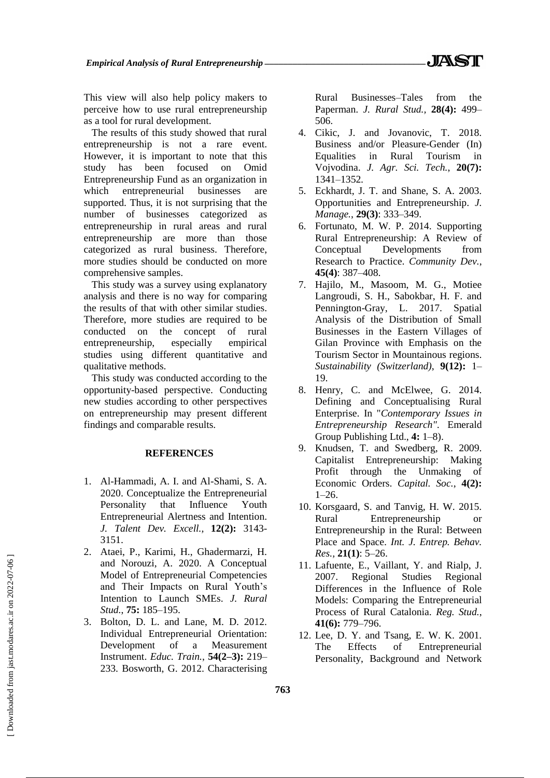This view will also help policy makers to perceive how to use rural entrepreneurship as a tool for rural development.

The results of this study showed that rural entrepreneurship is not a rare event. However, it is important to note that this study has been focused on Omid Entrepreneurship Fund as an organization in which entrepreneurial businesses are supported. Thus, it is not surprising that the number of businesses categorized as entrepreneurship in rural areas and rural entrepreneurship are more than those categorized as rural business. Therefore, more studies should be conducted on more comprehensive samples.

This study was a survey using explanatory analysis and there is no way for comparing the results of that with other similar studies. Therefore, more studies are required to be conducted on the concept of rural entrepreneurship, especially empirical studies using different quantitative and qualitative methods.

This study was conducted according to the opportunity-based perspective. Conducting new studies according to other perspectives on entrepreneurship may present different findings and comparable results.

## **REFERENCES**

- 1. Al-Hammadi, A. I. and Al-Shami, S. A. 2020. Conceptualize the Entrepreneurial Personality that Influence Youth Entrepreneurial Alertness and Intention. *J. Talent Dev. Excell.,* **12(2):** 3143- 3151.
- 2. Ataei, P., Karimi, H., Ghadermarzi, H. and Norouzi, A. 2020. A Conceptual Model of Entrepreneurial Competencies and Their Impacts on Rural Youth's Intention to Launch SMEs. *J. Rural Stud.*, **75:** 185–195.
- 3. Bolton, D. L. and Lane, M. D. 2012. Individual Entrepreneurial Orientation: Development of a Measurement Instrument. *Educ. Train.*, **54(2–3):** 219– 233. Bosworth, G. 2012. Characterising

Rural Businesses–Tales from the Paperman. *J. Rural Stud.,* **28(4):** 499– 506.

- 4. Cikic, J. and Jovanovic, T. 2018. Business and/or Pleasure-Gender (In) Equalities in Rural Tourism in Vojvodina. *J. Agr. Sci. Tech.*, **20(7):** 1341–1352.
- 5. Eckhardt, J. T. and Shane, S. A. 2003. Opportunities and Entrepreneurship. *J. Manage.*, **29(3)**: 333–349.
- 6. Fortunato, M. W. P. 2014. Supporting Rural Entrepreneurship: A Review of Conceptual Developments from Research to Practice. *Community Dev.*, **45(4)**: 387–408.
- 7. Hajilo, M., Masoom, M. G., Motiee Langroudi, S. H., Sabokbar, H. F. and Pennington-Gray, L. 2017. Spatial Analysis of the Distribution of Small Businesses in the Eastern Villages of Gilan Province with Emphasis on the Tourism Sector in Mountainous regions. *Sustainability (Switzerland)*, **9(12):** 1– 19.
- 8. Henry, C. and McElwee, G. 2014. Defining and Conceptualising Rural Enterprise. In "*Contemporary Issues in Entrepreneurship Research"*. Emerald Group Publishing Ltd., **4:** 1–8).
- 9. Knudsen, T. and Swedberg, R. 2009. Capitalist Entrepreneurship: Making Profit through the Unmaking of Economic Orders. *Capital. Soc.*, **4(2):**  $1 - 26$ .
- 10. Korsgaard, S. and Tanvig, H. W. 2015. Rural Entrepreneurship or Entrepreneurship in the Rural: Between Place and Space. *Int. J. Entrep. Behav. Res.,* **21(1)**: 5–26.
- 11. Lafuente, E., Vaillant, Y. and Rialp, J. 2007. Regional Studies Regional Differences in the Influence of Role Models: Comparing the Entrepreneurial Process of Rural Catalonia. *Reg. Stud.*, **41(6):** 779–796.
- 12. Lee, D. Y. and Tsang, E. W. K. 2001. The Effects of Entrepreneurial Personality, Background and Network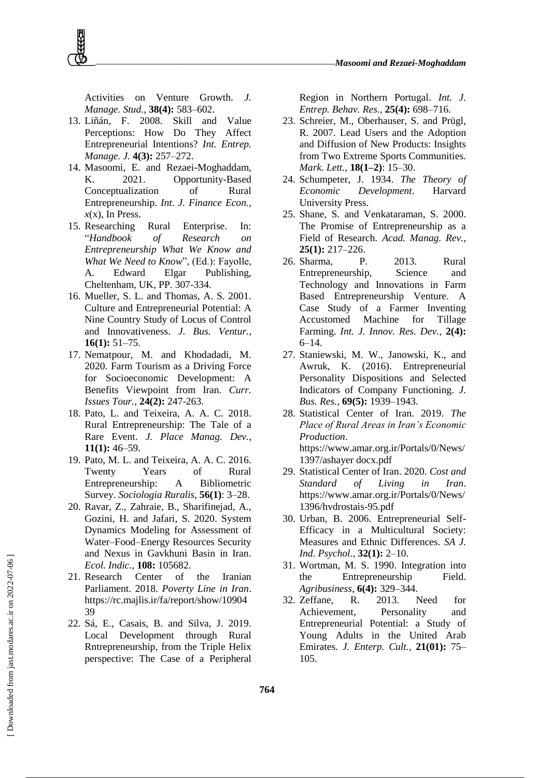

Activities on Venture Growth. *J. Manage. Stud.*, **38(4):** 583–602.

- 13. Liñán, F. 2008. Skill and Value Perceptions: How Do They Affect Entrepreneurial Intentions? *Int. Entrep. Manage. J.* **4(3):** 257–272.
- 14. Masoomi, E. and Rezaei-Moghaddam, K. 2021. Opportunity-Based Conceptualization of Rural Entrepreneurship. *Int. J. Finance Econ.,*   $x(x)$ , In Press.
- 15. Researching Rural Enterprise. In: "*Handbook of Research on Entrepreneurship What We Know and What We Need to Know*", (Ed.): Fayolle, A. Edward Elgar Publishing, Cheltenham, UK, PP. 307-334.
- 16. Mueller, S. L. and Thomas, A. S. 2001. Culture and Entrepreneurial Potential: A Nine Country Study of Locus of Control and Innovativeness. *J. Bus. Ventur.*, **16(1):** 51–75.
- 17. Nematpour, M. and Khodadadi, M. 2020. Farm Tourism as a Driving Force for Socioeconomic Development: A Benefits Viewpoint from Iran. *Curr. Issues Tour.*, **24(2):** 247-263.
- 18. Pato, L. and Teixeira, A. A. C. 2018. Rural Entrepreneurship: The Tale of a Rare Event. *J. Place Manag. Dev.*, **11(1):** 46–59.
- 19. Pato, M. L. and Teixeira, A. A. C. 2016. Twenty Years of Rural Entrepreneurship: A Bibliometric Survey. *Sociologia Ruralis*, **56(1)**: 3–28.
- 20. Ravar, Z., Zahraie, B., Sharifinejad, A., Gozini, H. and Jafari, S. 2020. System Dynamics Modeling for Assessment of Water–Food–Energy Resources Security and Nexus in Gavkhuni Basin in Iran. *Ecol. Indic.,* **108:** 105682.
- 21. Research Center of the Iranian Parliament. 2018. *Poverty Line in Iran*. https://rc.majlis.ir/fa/report/show/10904 39
- 22. Sá, E., Casais, B. and Silva, J. 2019. Local Development through Rural Rntrepreneurship, from the Triple Helix perspective: The Case of a Peripheral

Region in Northern Portugal. *Int. J. Entrep. Behav. Res.*, **25(4):** 698–716.

- 23. Schreier, M., Oberhauser, S. and Prügl, R. 2007. Lead Users and the Adoption and Diffusion of New Products: Insights from Two Extreme Sports Communities. *Mark. Lett.*, **18(1–2)**: 15–30.
- 24. Schumpeter, J. 1934. *The Theory of Economic Development*. Harvard University Press.
- 25. Shane, S. and Venkataraman, S. 2000. The Promise of Entrepreneurship as a Field of Research. *Acad. Manag. Rev.*, **25(1):** 217–226.
- 26. Sharma, P. 2013. Rural Entrepreneurship, Science and Technology and Innovations in Farm Based Entrepreneurship Venture. A Case Study of a Farmer Inventing Accustomed Machine for Tillage Farming. *Int. J. Innov. Res. Dev.*, **2(4):** 6–14.
- 27. Staniewski, M. W., Janowski, K., and Awruk, K. (2016). Entrepreneurial Personality Dispositions and Selected Indicators of Company Functioning. *J. Bus. Res.*, **69(5):** 1939–1943.
- 28. Statistical Center of Iran. 2019. *The Place of Rural Areas in Iran's Economic Production*. https://www.amar.org.ir/Portals/0/News/ 1397/ashayer docx.pdf
- 29. Statistical Center of Iran. 2020. *Cost and Standard of Living in Iran*. https://www.amar.org.ir/Portals/0/News/ 1396/hvdrostais-95.pdf
- 30. Urban, B. 2006. Entrepreneurial Self-Efficacy in a Multicultural Society: Measures and Ethnic Differences. *SA J. Ind. Psychol.*, **32(1):** 2–10.
- 31. Wortman, M. S. 1990. Integration into the Entrepreneurship Field. *Agribusiness*, **6(4):** 329–344.
- 32. Zeffane, R. 2013. Need for Achievement, Personality and Entrepreneurial Potential: a Study of Young Adults in the United Arab Emirates. *J. Enterp. Cult.*, **21(01):** 75– 105.

**764**